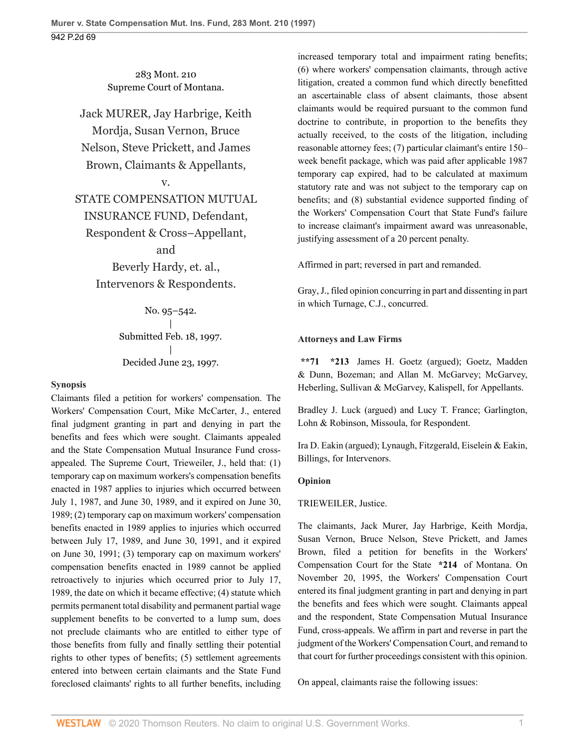283 Mont. 210 Supreme Court of Montana.

Jack MURER, Jay Harbrige, Keith Mordja, Susan Vernon, Bruce Nelson, Steve Prickett, and James Brown, Claimants & Appellants,

### v.

# STATE COMPENSATION MUTUAL

## INSURANCE FUND, Defendant,

### Respondent & Cross–Appellant,

and

Beverly Hardy, et. al., Intervenors & Respondents.

> No. 95–542. | Submitted Feb. 18, 1997. | Decided June 23, 1997.

#### **Synopsis**

Claimants filed a petition for workers' compensation. The Workers' Compensation Court, [Mike McCarter](http://www.westlaw.com/Link/Document/FullText?findType=h&pubNum=176284&cite=0123054501&originatingDoc=I4454ca18f57011d9bf60c1d57ebc853e&refType=RQ&originationContext=document&vr=3.0&rs=cblt1.0&transitionType=DocumentItem&contextData=(sc.UserEnteredCitation)), J., entered final judgment granting in part and denying in part the benefits and fees which were sought. Claimants appealed and the State Compensation Mutual Insurance Fund crossappealed. The Supreme Court, Trieweiler, J., held that: (1) temporary cap on maximum workers's compensation benefits enacted in 1987 applies to injuries which occurred between July 1, 1987, and June 30, 1989, and it expired on June 30, 1989; (2) temporary cap on maximum workers' compensation benefits enacted in 1989 applies to injuries which occurred between July 17, 1989, and June 30, 1991, and it expired on June 30, 1991; (3) temporary cap on maximum workers' compensation benefits enacted in 1989 cannot be applied retroactively to injuries which occurred prior to July 17, 1989, the date on which it became effective; (4) statute which permits permanent total disability and permanent partial wage supplement benefits to be converted to a lump sum, does not preclude claimants who are entitled to either type of those benefits from fully and finally settling their potential rights to other types of benefits; (5) settlement agreements entered into between certain claimants and the State Fund foreclosed claimants' rights to all further benefits, including

increased temporary total and impairment rating benefits; (6) where workers' compensation claimants, through active litigation, created a common fund which directly benefitted an ascertainable class of absent claimants, those absent claimants would be required pursuant to the common fund doctrine to contribute, in proportion to the benefits they actually received, to the costs of the litigation, including reasonable attorney fees; (7) particular claimant's entire 150– week benefit package, which was paid after applicable 1987 temporary cap expired, had to be calculated at maximum statutory rate and was not subject to the temporary cap on benefits; and (8) substantial evidence supported finding of the Workers' Compensation Court that State Fund's failure to increase claimant's impairment award was unreasonable, justifying assessment of a 20 percent penalty.

Affirmed in part; reversed in part and remanded.

[Gray,](http://www.westlaw.com/Link/Document/FullText?findType=h&pubNum=176284&cite=0141245001&originatingDoc=I4454ca18f57011d9bf60c1d57ebc853e&refType=RQ&originationContext=document&vr=3.0&rs=cblt1.0&transitionType=DocumentItem&contextData=(sc.UserEnteredCitation)) J., filed opinion concurring in part and dissenting in part in which [Turnage](http://www.westlaw.com/Link/Document/FullText?findType=h&pubNum=176284&cite=0235790001&originatingDoc=I4454ca18f57011d9bf60c1d57ebc853e&refType=RQ&originationContext=document&vr=3.0&rs=cblt1.0&transitionType=DocumentItem&contextData=(sc.UserEnteredCitation)), C.J., concurred.

### **Attorneys and Law Firms**

**\*\*71 \*213** [James H. Goetz](http://www.westlaw.com/Link/Document/FullText?findType=h&pubNum=176284&cite=0235898801&originatingDoc=I4454ca18f57011d9bf60c1d57ebc853e&refType=RQ&originationContext=document&vr=3.0&rs=cblt1.0&transitionType=DocumentItem&contextData=(sc.UserEnteredCitation)) (argued); Goetz, Madden & Dunn, Bozeman; and [Allan M. McGarvey](http://www.westlaw.com/Link/Document/FullText?findType=h&pubNum=176284&cite=0154427801&originatingDoc=I4454ca18f57011d9bf60c1d57ebc853e&refType=RQ&originationContext=document&vr=3.0&rs=cblt1.0&transitionType=DocumentItem&contextData=(sc.UserEnteredCitation)); McGarvey, Heberling, Sullivan & McGarvey, Kalispell, for Appellants.

[Bradley J. Luck](http://www.westlaw.com/Link/Document/FullText?findType=h&pubNum=176284&cite=0129410301&originatingDoc=I4454ca18f57011d9bf60c1d57ebc853e&refType=RQ&originationContext=document&vr=3.0&rs=cblt1.0&transitionType=DocumentItem&contextData=(sc.UserEnteredCitation)) (argued) and [Lucy T. France](http://www.westlaw.com/Link/Document/FullText?findType=h&pubNum=176284&cite=0243663001&originatingDoc=I4454ca18f57011d9bf60c1d57ebc853e&refType=RQ&originationContext=document&vr=3.0&rs=cblt1.0&transitionType=DocumentItem&contextData=(sc.UserEnteredCitation)); Garlington, Lohn & Robinson, Missoula, for Respondent.

[Ira D. Eakin](http://www.westlaw.com/Link/Document/FullText?findType=h&pubNum=176284&cite=0302687901&originatingDoc=I4454ca18f57011d9bf60c1d57ebc853e&refType=RQ&originationContext=document&vr=3.0&rs=cblt1.0&transitionType=DocumentItem&contextData=(sc.UserEnteredCitation)) (argued); Lynaugh, Fitzgerald, Eiselein & Eakin, Billings, for Intervenors.

#### **Opinion**

TRIEWEILER, Justice.

The claimants, Jack Murer, Jay Harbrige, Keith Mordja, Susan Vernon, Bruce Nelson, Steve Prickett, and James Brown, filed a petition for benefits in the Workers' Compensation Court for the State **\*214** of Montana. On November 20, 1995, the Workers' Compensation Court entered its final judgment granting in part and denying in part the benefits and fees which were sought. Claimants appeal and the respondent, State Compensation Mutual Insurance Fund, cross-appeals. We affirm in part and reverse in part the judgment of the Workers' Compensation Court, and remand to that court for further proceedings consistent with this opinion.

On appeal, claimants raise the following issues: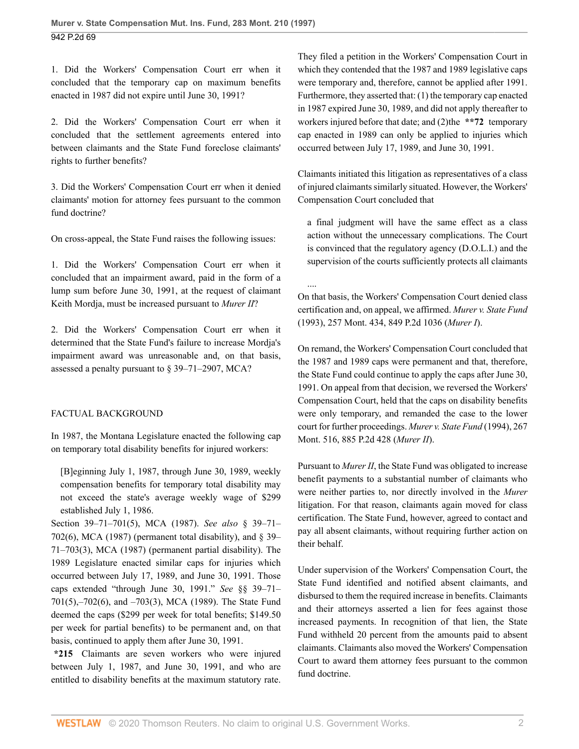1. Did the Workers' Compensation Court err when it concluded that the temporary cap on maximum benefits enacted in 1987 did not expire until June 30, 1991?

2. Did the Workers' Compensation Court err when it concluded that the settlement agreements entered into between claimants and the State Fund foreclose claimants' rights to further benefits?

3. Did the Workers' Compensation Court err when it denied claimants' motion for attorney fees pursuant to the common fund doctrine?

On cross-appeal, the State Fund raises the following issues:

1. Did the Workers' Compensation Court err when it concluded that an impairment award, paid in the form of a lump sum before June 30, 1991, at the request of claimant Keith Mordja, must be increased pursuant to *Murer II*?

2. Did the Workers' Compensation Court err when it determined that the State Fund's failure to increase Mordja's impairment award was unreasonable and, on that basis, assessed a penalty pursuant to [§ 39–71–2907, MCA?](http://www.westlaw.com/Link/Document/FullText?findType=L&pubNum=1002018&cite=MTST39-71-2907&originatingDoc=I4454ca18f57011d9bf60c1d57ebc853e&refType=LQ&originationContext=document&vr=3.0&rs=cblt1.0&transitionType=DocumentItem&contextData=(sc.UserEnteredCitation))

## FACTUAL BACKGROUND

In 1987, the Montana Legislature enacted the following cap on temporary total disability benefits for injured workers:

[B]eginning July 1, 1987, through June 30, 1989, weekly compensation benefits for temporary total disability may not exceed the state's average weekly wage of \$299 established July 1, 1986.

[Section 39–71–701\(5\), MCA \(1987\)](http://www.westlaw.com/Link/Document/FullText?findType=L&pubNum=1002018&cite=MTST39-71-701&originatingDoc=I4454ca18f57011d9bf60c1d57ebc853e&refType=SP&originationContext=document&vr=3.0&rs=cblt1.0&transitionType=DocumentItem&contextData=(sc.UserEnteredCitation)#co_pp_362c000048fd7). *See also* [§ 39–71–](http://www.westlaw.com/Link/Document/FullText?findType=L&pubNum=1002018&cite=MTST39-71-702&originatingDoc=I4454ca18f57011d9bf60c1d57ebc853e&refType=SP&originationContext=document&vr=3.0&rs=cblt1.0&transitionType=DocumentItem&contextData=(sc.UserEnteredCitation)#co_pp_1e9a0000fd6a3) [702\(6\), MCA \(1987\)](http://www.westlaw.com/Link/Document/FullText?findType=L&pubNum=1002018&cite=MTST39-71-702&originatingDoc=I4454ca18f57011d9bf60c1d57ebc853e&refType=SP&originationContext=document&vr=3.0&rs=cblt1.0&transitionType=DocumentItem&contextData=(sc.UserEnteredCitation)#co_pp_1e9a0000fd6a3) (permanent total disability), and  $\S$  39– [71–703\(3\), MCA \(1987\)](http://www.westlaw.com/Link/Document/FullText?findType=L&pubNum=1002018&cite=MTST39-71-703&originatingDoc=I4454ca18f57011d9bf60c1d57ebc853e&refType=SP&originationContext=document&vr=3.0&rs=cblt1.0&transitionType=DocumentItem&contextData=(sc.UserEnteredCitation)#co_pp_d08f0000f5f67) (permanent partial disability). The 1989 Legislature enacted similar caps for injuries which occurred between July 17, 1989, and June 30, 1991. Those caps extended "through June 30, 1991." *See* [§§ 39–71–](http://www.westlaw.com/Link/Document/FullText?findType=L&pubNum=1002018&cite=MTST39-71-701&originatingDoc=I4454ca18f57011d9bf60c1d57ebc853e&refType=SP&originationContext=document&vr=3.0&rs=cblt1.0&transitionType=DocumentItem&contextData=(sc.UserEnteredCitation)#co_pp_362c000048fd7) [701\(5\),–702\(6\), and –703\(3\), MCA \(1989\).](http://www.westlaw.com/Link/Document/FullText?findType=L&pubNum=1002018&cite=MTST39-71-701&originatingDoc=I4454ca18f57011d9bf60c1d57ebc853e&refType=SP&originationContext=document&vr=3.0&rs=cblt1.0&transitionType=DocumentItem&contextData=(sc.UserEnteredCitation)#co_pp_362c000048fd7) The State Fund deemed the caps (\$299 per week for total benefits; \$149.50 per week for partial benefits) to be permanent and, on that basis, continued to apply them after June 30, 1991.

**\*215** Claimants are seven workers who were injured between July 1, 1987, and June 30, 1991, and who are entitled to disability benefits at the maximum statutory rate. They filed a petition in the Workers' Compensation Court in which they contended that the 1987 and 1989 legislative caps were temporary and, therefore, cannot be applied after 1991. Furthermore, they asserted that: (1) the temporary cap enacted in 1987 expired June 30, 1989, and did not apply thereafter to workers injured before that date; and (2)the **\*\*72** temporary cap enacted in 1989 can only be applied to injuries which occurred between July 17, 1989, and June 30, 1991.

Claimants initiated this litigation as representatives of a class of injured claimants similarly situated. However, the Workers' Compensation Court concluded that

a final judgment will have the same effect as a class action without the unnecessary complications. The Court is convinced that the regulatory agency (D.O.L.I.) and the supervision of the courts sufficiently protects all claimants

.... On that basis, the Workers' Compensation Court denied class certification and, on appeal, we affirmed. *[Murer v. State Fund](http://www.westlaw.com/Link/Document/FullText?findType=Y&serNum=1993078237&pubNum=0000661&originatingDoc=I4454ca18f57011d9bf60c1d57ebc853e&refType=RP&originationContext=document&vr=3.0&rs=cblt1.0&transitionType=DocumentItem&contextData=(sc.UserEnteredCitation))* [\(1993\), 257 Mont. 434, 849 P.2d 1036](http://www.westlaw.com/Link/Document/FullText?findType=Y&serNum=1993078237&pubNum=0000661&originatingDoc=I4454ca18f57011d9bf60c1d57ebc853e&refType=RP&originationContext=document&vr=3.0&rs=cblt1.0&transitionType=DocumentItem&contextData=(sc.UserEnteredCitation)) (*Murer I*).

On remand, the Workers' Compensation Court concluded that the 1987 and 1989 caps were permanent and that, therefore, the State Fund could continue to apply the caps after June 30, 1991. On appeal from that decision, we reversed the Workers' Compensation Court, held that the caps on disability benefits were only temporary, and remanded the case to the lower court for further proceedings. *[Murer v. State Fund](http://www.westlaw.com/Link/Document/FullText?findType=Y&serNum=1994235285&pubNum=0000661&originatingDoc=I4454ca18f57011d9bf60c1d57ebc853e&refType=RP&originationContext=document&vr=3.0&rs=cblt1.0&transitionType=DocumentItem&contextData=(sc.UserEnteredCitation))* (1994), 267 [Mont. 516, 885 P.2d 428](http://www.westlaw.com/Link/Document/FullText?findType=Y&serNum=1994235285&pubNum=0000661&originatingDoc=I4454ca18f57011d9bf60c1d57ebc853e&refType=RP&originationContext=document&vr=3.0&rs=cblt1.0&transitionType=DocumentItem&contextData=(sc.UserEnteredCitation)) (*Murer II*).

Pursuant to *Murer II*, the State Fund was obligated to increase benefit payments to a substantial number of claimants who were neither parties to, nor directly involved in the *Murer* litigation. For that reason, claimants again moved for class certification. The State Fund, however, agreed to contact and pay all absent claimants, without requiring further action on their behalf.

Under supervision of the Workers' Compensation Court, the State Fund identified and notified absent claimants, and disbursed to them the required increase in benefits. Claimants and their attorneys asserted a lien for fees against those increased payments. In recognition of that lien, the State Fund withheld 20 percent from the amounts paid to absent claimants. Claimants also moved the Workers' Compensation Court to award them attorney fees pursuant to the common fund doctrine.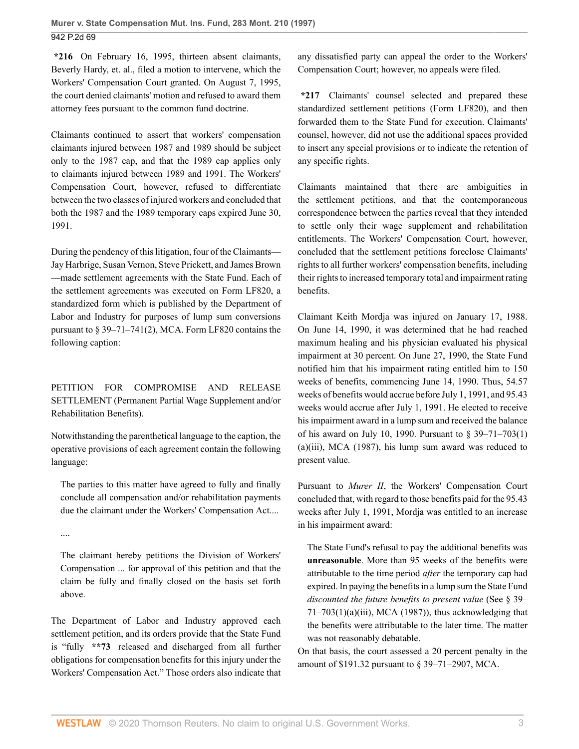**\*216** On February 16, 1995, thirteen absent claimants, Beverly Hardy, et. al., filed a motion to intervene, which the Workers' Compensation Court granted. On August 7, 1995, the court denied claimants' motion and refused to award them attorney fees pursuant to the common fund doctrine.

Claimants continued to assert that workers' compensation claimants injured between 1987 and 1989 should be subject only to the 1987 cap, and that the 1989 cap applies only to claimants injured between 1989 and 1991. The Workers' Compensation Court, however, refused to differentiate between the two classes of injured workers and concluded that both the 1987 and the 1989 temporary caps expired June 30, 1991.

During the pendency of this litigation, four of the Claimants— Jay Harbrige, Susan Vernon, Steve Prickett, and James Brown —made settlement agreements with the State Fund. Each of the settlement agreements was executed on Form LF820, a standardized form which is published by the Department of Labor and Industry for purposes of lump sum conversions pursuant to [§ 39–71–741\(2\), MCA.](http://www.westlaw.com/Link/Document/FullText?findType=L&pubNum=1002018&cite=MTST39-71-741&originatingDoc=I4454ca18f57011d9bf60c1d57ebc853e&refType=SP&originationContext=document&vr=3.0&rs=cblt1.0&transitionType=DocumentItem&contextData=(sc.UserEnteredCitation)#co_pp_58730000872b1) Form LF820 contains the following caption:

PETITION FOR COMPROMISE AND RELEASE SETTLEMENT (Permanent Partial Wage Supplement and/or Rehabilitation Benefits).

Notwithstanding the parenthetical language to the caption, the operative provisions of each agreement contain the following language:

The parties to this matter have agreed to fully and finally conclude all compensation and/or rehabilitation payments due the claimant under the Workers' Compensation Act....

....

The claimant hereby petitions the Division of Workers' Compensation ... for approval of this petition and that the claim be fully and finally closed on the basis set forth above.

The Department of Labor and Industry approved each settlement petition, and its orders provide that the State Fund is "fully **\*\*73** released and discharged from all further obligations for compensation benefits for this injury under the Workers' Compensation Act." Those orders also indicate that

any dissatisfied party can appeal the order to the Workers' Compensation Court; however, no appeals were filed.

**\*217** Claimants' counsel selected and prepared these standardized settlement petitions (Form LF820), and then forwarded them to the State Fund for execution. Claimants' counsel, however, did not use the additional spaces provided to insert any special provisions or to indicate the retention of any specific rights.

Claimants maintained that there are ambiguities in the settlement petitions, and that the contemporaneous correspondence between the parties reveal that they intended to settle only their wage supplement and rehabilitation entitlements. The Workers' Compensation Court, however, concluded that the settlement petitions foreclose Claimants' rights to all further workers' compensation benefits, including their rights to increased temporary total and impairment rating benefits.

Claimant Keith Mordja was injured on January 17, 1988. On June 14, 1990, it was determined that he had reached maximum healing and his physician evaluated his physical impairment at 30 percent. On June 27, 1990, the State Fund notified him that his impairment rating entitled him to 150 weeks of benefits, commencing June 14, 1990. Thus, 54.57 weeks of benefits would accrue before July 1, 1991, and 95.43 weeks would accrue after July 1, 1991. He elected to receive his impairment award in a lump sum and received the balance of his award on July 10, 1990. Pursuant to [§ 39–71–703\(1\)](http://www.westlaw.com/Link/Document/FullText?findType=L&pubNum=1002018&cite=MTST39-71-703&originatingDoc=I4454ca18f57011d9bf60c1d57ebc853e&refType=SP&originationContext=document&vr=3.0&rs=cblt1.0&transitionType=DocumentItem&contextData=(sc.UserEnteredCitation)#co_pp_9f800000f2221) [\(a\)\(iii\), MCA \(1987\),](http://www.westlaw.com/Link/Document/FullText?findType=L&pubNum=1002018&cite=MTST39-71-703&originatingDoc=I4454ca18f57011d9bf60c1d57ebc853e&refType=SP&originationContext=document&vr=3.0&rs=cblt1.0&transitionType=DocumentItem&contextData=(sc.UserEnteredCitation)#co_pp_9f800000f2221) his lump sum award was reduced to present value.

Pursuant to *Murer II*, the Workers' Compensation Court concluded that, with regard to those benefits paid for the 95.43 weeks after July 1, 1991, Mordja was entitled to an increase in his impairment award:

The State Fund's refusal to pay the additional benefits was **unreasonable**. More than 95 weeks of the benefits were attributable to the time period *after* the temporary cap had expired. In paying the benefits in a lump sum the State Fund *discounted the future benefits to present value* (See [§ 39–](http://www.westlaw.com/Link/Document/FullText?findType=L&pubNum=1002018&cite=MTST39-71-703&originatingDoc=I4454ca18f57011d9bf60c1d57ebc853e&refType=SP&originationContext=document&vr=3.0&rs=cblt1.0&transitionType=DocumentItem&contextData=(sc.UserEnteredCitation)#co_pp_9f800000f2221)  $71-703(1)(a)(iii)$ , MCA (1987)), thus acknowledging that the benefits were attributable to the later time. The matter was not reasonably debatable.

On that basis, the court assessed a 20 percent penalty in the amount of \$191.32 pursuant to [§ 39–71–2907, MCA.](http://www.westlaw.com/Link/Document/FullText?findType=L&pubNum=1002018&cite=MTST39-71-2907&originatingDoc=I4454ca18f57011d9bf60c1d57ebc853e&refType=LQ&originationContext=document&vr=3.0&rs=cblt1.0&transitionType=DocumentItem&contextData=(sc.UserEnteredCitation))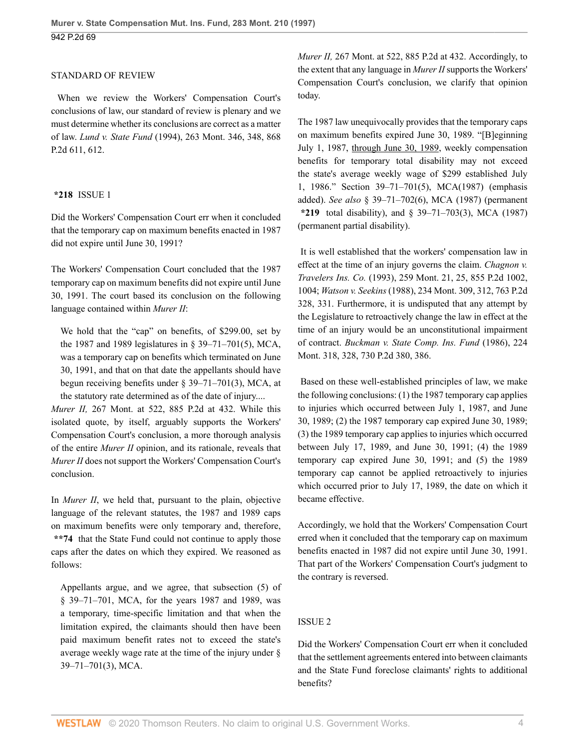#### STANDARD OF REVIEW

 When we review the Workers' Compensation Court's conclusions of law, our standard of review is plenary and we must determine whether its conclusions are correct as a matter of law. *Lund v. State Fund* [\(1994\), 263 Mont. 346, 348, 868](http://www.westlaw.com/Link/Document/FullText?findType=Y&serNum=1994044493&pubNum=0000661&originatingDoc=I4454ca18f57011d9bf60c1d57ebc853e&refType=RP&fi=co_pp_sp_661_612&originationContext=document&vr=3.0&rs=cblt1.0&transitionType=DocumentItem&contextData=(sc.UserEnteredCitation)#co_pp_sp_661_612) [P.2d 611, 612](http://www.westlaw.com/Link/Document/FullText?findType=Y&serNum=1994044493&pubNum=0000661&originatingDoc=I4454ca18f57011d9bf60c1d57ebc853e&refType=RP&fi=co_pp_sp_661_612&originationContext=document&vr=3.0&rs=cblt1.0&transitionType=DocumentItem&contextData=(sc.UserEnteredCitation)#co_pp_sp_661_612).

#### **\*218** ISSUE 1

Did the Workers' Compensation Court err when it concluded that the temporary cap on maximum benefits enacted in 1987 did not expire until June 30, 1991?

The Workers' Compensation Court concluded that the 1987 temporary cap on maximum benefits did not expire until June 30, 1991. The court based its conclusion on the following language contained within *Murer II*:

We hold that the "cap" on benefits, of \$299.00, set by the 1987 and 1989 legislatures in [§ 39–71–701\(5\), MCA](http://www.westlaw.com/Link/Document/FullText?findType=L&pubNum=1002018&cite=MTST39-71-701&originatingDoc=I4454ca18f57011d9bf60c1d57ebc853e&refType=SP&originationContext=document&vr=3.0&rs=cblt1.0&transitionType=DocumentItem&contextData=(sc.UserEnteredCitation)#co_pp_362c000048fd7), was a temporary cap on benefits which terminated on June 30, 1991, and that on that date the appellants should have begun receiving benefits under [§ 39–71–701\(3\), MCA](http://www.westlaw.com/Link/Document/FullText?findType=L&pubNum=1002018&cite=MTST39-71-701&originatingDoc=I4454ca18f57011d9bf60c1d57ebc853e&refType=SP&originationContext=document&vr=3.0&rs=cblt1.0&transitionType=DocumentItem&contextData=(sc.UserEnteredCitation)#co_pp_d08f0000f5f67), at the statutory rate determined as of the date of injury....

*Murer II,* [267 Mont. at 522, 885 P.2d at 432.](http://www.westlaw.com/Link/Document/FullText?findType=Y&serNum=1994235285&pubNum=661&originatingDoc=I4454ca18f57011d9bf60c1d57ebc853e&refType=RP&fi=co_pp_sp_661_432&originationContext=document&vr=3.0&rs=cblt1.0&transitionType=DocumentItem&contextData=(sc.UserEnteredCitation)#co_pp_sp_661_432) While this isolated quote, by itself, arguably supports the Workers' Compensation Court's conclusion, a more thorough analysis of the entire *Murer II* opinion, and its rationale, reveals that *Murer II* does not support the Workers' Compensation Court's conclusion.

In *Murer II*, we held that, pursuant to the plain, objective language of the relevant statutes, the 1987 and 1989 caps on maximum benefits were only temporary and, therefore, **\*\*74** that the State Fund could not continue to apply those caps after the dates on which they expired. We reasoned as follows:

Appellants argue, and we agree, that [subsection \(5\) of](http://www.westlaw.com/Link/Document/FullText?findType=L&pubNum=1002018&cite=MTST39-71-701&originatingDoc=I4454ca18f57011d9bf60c1d57ebc853e&refType=SP&originationContext=document&vr=3.0&rs=cblt1.0&transitionType=DocumentItem&contextData=(sc.UserEnteredCitation)#co_pp_362c000048fd7) [§ 39–71–701, MCA,](http://www.westlaw.com/Link/Document/FullText?findType=L&pubNum=1002018&cite=MTST39-71-701&originatingDoc=I4454ca18f57011d9bf60c1d57ebc853e&refType=SP&originationContext=document&vr=3.0&rs=cblt1.0&transitionType=DocumentItem&contextData=(sc.UserEnteredCitation)#co_pp_362c000048fd7) for the years 1987 and 1989, was a temporary, time-specific limitation and that when the limitation expired, the claimants should then have been paid maximum benefit rates not to exceed the state's average weekly wage rate at the time of the injury under [§](http://www.westlaw.com/Link/Document/FullText?findType=L&pubNum=1002018&cite=MTST39-71-701&originatingDoc=I4454ca18f57011d9bf60c1d57ebc853e&refType=SP&originationContext=document&vr=3.0&rs=cblt1.0&transitionType=DocumentItem&contextData=(sc.UserEnteredCitation)#co_pp_d08f0000f5f67) [39–71–701\(3\), MCA](http://www.westlaw.com/Link/Document/FullText?findType=L&pubNum=1002018&cite=MTST39-71-701&originatingDoc=I4454ca18f57011d9bf60c1d57ebc853e&refType=SP&originationContext=document&vr=3.0&rs=cblt1.0&transitionType=DocumentItem&contextData=(sc.UserEnteredCitation)#co_pp_d08f0000f5f67).

*Murer II,* [267 Mont. at 522, 885 P.2d at 432.](http://www.westlaw.com/Link/Document/FullText?findType=Y&serNum=1994235285&pubNum=661&originatingDoc=I4454ca18f57011d9bf60c1d57ebc853e&refType=RP&fi=co_pp_sp_661_432&originationContext=document&vr=3.0&rs=cblt1.0&transitionType=DocumentItem&contextData=(sc.UserEnteredCitation)#co_pp_sp_661_432) Accordingly, to the extent that any language in *Murer II* supports the Workers' Compensation Court's conclusion, we clarify that opinion today.

The 1987 law unequivocally provides that the temporary caps on maximum benefits expired June 30, 1989. "[B]eginning July 1, 1987, through June 30, 1989, weekly compensation benefits for temporary total disability may not exceed the state's average weekly wage of \$299 established July 1, 1986." [Section 39–71–701\(5\), MCA\(1987\)](http://www.westlaw.com/Link/Document/FullText?findType=L&pubNum=1002018&cite=MTST39-71-701&originatingDoc=I4454ca18f57011d9bf60c1d57ebc853e&refType=SP&originationContext=document&vr=3.0&rs=cblt1.0&transitionType=DocumentItem&contextData=(sc.UserEnteredCitation)#co_pp_362c000048fd7) (emphasis added). *See also* [§ 39–71–702\(6\), MCA \(1987\)](http://www.westlaw.com/Link/Document/FullText?findType=L&pubNum=1002018&cite=MTST39-71-702&originatingDoc=I4454ca18f57011d9bf60c1d57ebc853e&refType=SP&originationContext=document&vr=3.0&rs=cblt1.0&transitionType=DocumentItem&contextData=(sc.UserEnteredCitation)#co_pp_1e9a0000fd6a3) (permanent **\*219** total disability), and [§ 39–71–703\(3\), MCA \(1987\)](http://www.westlaw.com/Link/Document/FullText?findType=L&pubNum=1002018&cite=MTST39-71-703&originatingDoc=I4454ca18f57011d9bf60c1d57ebc853e&refType=SP&originationContext=document&vr=3.0&rs=cblt1.0&transitionType=DocumentItem&contextData=(sc.UserEnteredCitation)#co_pp_d08f0000f5f67) (permanent partial disability).

 It is well established that the workers' compensation law in effect at the time of an injury governs the claim. *[Chagnon v.](http://www.westlaw.com/Link/Document/FullText?findType=Y&serNum=1993062460&pubNum=661&originatingDoc=I4454ca18f57011d9bf60c1d57ebc853e&refType=RP&fi=co_pp_sp_661_1004&originationContext=document&vr=3.0&rs=cblt1.0&transitionType=DocumentItem&contextData=(sc.UserEnteredCitation)#co_pp_sp_661_1004) Travelers Ins. Co.* [\(1993\), 259 Mont. 21, 25, 855 P.2d 1002,](http://www.westlaw.com/Link/Document/FullText?findType=Y&serNum=1993062460&pubNum=661&originatingDoc=I4454ca18f57011d9bf60c1d57ebc853e&refType=RP&fi=co_pp_sp_661_1004&originationContext=document&vr=3.0&rs=cblt1.0&transitionType=DocumentItem&contextData=(sc.UserEnteredCitation)#co_pp_sp_661_1004) [1004;](http://www.westlaw.com/Link/Document/FullText?findType=Y&serNum=1993062460&pubNum=661&originatingDoc=I4454ca18f57011d9bf60c1d57ebc853e&refType=RP&fi=co_pp_sp_661_1004&originationContext=document&vr=3.0&rs=cblt1.0&transitionType=DocumentItem&contextData=(sc.UserEnteredCitation)#co_pp_sp_661_1004) *Watson v. Seekins* [\(1988\), 234 Mont. 309, 312, 763 P.2d](http://www.westlaw.com/Link/Document/FullText?findType=Y&serNum=1988133926&pubNum=661&originatingDoc=I4454ca18f57011d9bf60c1d57ebc853e&refType=RP&fi=co_pp_sp_661_331&originationContext=document&vr=3.0&rs=cblt1.0&transitionType=DocumentItem&contextData=(sc.UserEnteredCitation)#co_pp_sp_661_331) [328, 331.](http://www.westlaw.com/Link/Document/FullText?findType=Y&serNum=1988133926&pubNum=661&originatingDoc=I4454ca18f57011d9bf60c1d57ebc853e&refType=RP&fi=co_pp_sp_661_331&originationContext=document&vr=3.0&rs=cblt1.0&transitionType=DocumentItem&contextData=(sc.UserEnteredCitation)#co_pp_sp_661_331) Furthermore, it is undisputed that any attempt by the Legislature to retroactively change the law in effect at the time of an injury would be an unconstitutional impairment of contract. *[Buckman v. State Comp. Ins. Fund](http://www.westlaw.com/Link/Document/FullText?findType=Y&serNum=1986162037&pubNum=0000661&originatingDoc=I4454ca18f57011d9bf60c1d57ebc853e&refType=RP&fi=co_pp_sp_661_386&originationContext=document&vr=3.0&rs=cblt1.0&transitionType=DocumentItem&contextData=(sc.UserEnteredCitation)#co_pp_sp_661_386)* (1986), 224 [Mont. 318, 328, 730 P.2d 380, 386.](http://www.westlaw.com/Link/Document/FullText?findType=Y&serNum=1986162037&pubNum=0000661&originatingDoc=I4454ca18f57011d9bf60c1d57ebc853e&refType=RP&fi=co_pp_sp_661_386&originationContext=document&vr=3.0&rs=cblt1.0&transitionType=DocumentItem&contextData=(sc.UserEnteredCitation)#co_pp_sp_661_386)

 Based on these well-established principles of law, we make the following conclusions: (1) the 1987 temporary cap applies to injuries which occurred between July 1, 1987, and June 30, 1989; (2) the 1987 temporary cap expired June 30, 1989; (3) the 1989 temporary cap applies to injuries which occurred between July 17, 1989, and June 30, 1991; (4) the 1989 temporary cap expired June 30, 1991; and (5) the 1989 temporary cap cannot be applied retroactively to injuries which occurred prior to July 17, 1989, the date on which it became effective.

Accordingly, we hold that the Workers' Compensation Court erred when it concluded that the temporary cap on maximum benefits enacted in 1987 did not expire until June 30, 1991. That part of the Workers' Compensation Court's judgment to the contrary is reversed.

#### ISSUE 2

Did the Workers' Compensation Court err when it concluded that the settlement agreements entered into between claimants and the State Fund foreclose claimants' rights to additional benefits?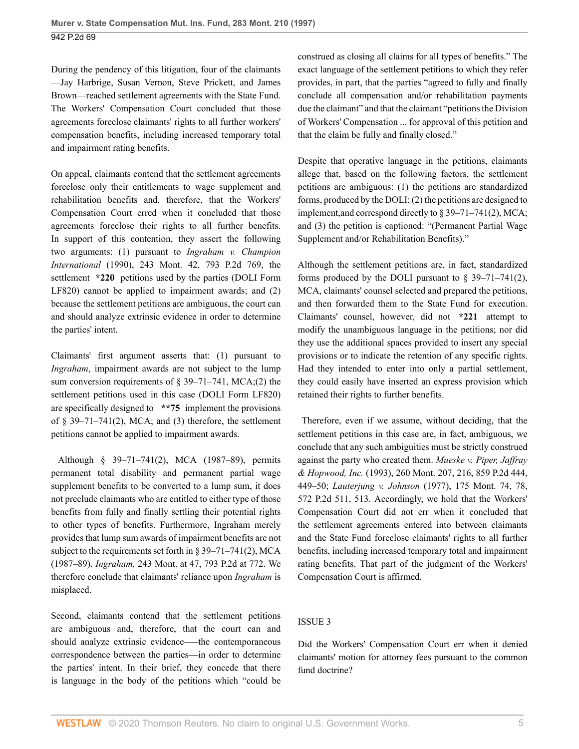During the pendency of this litigation, four of the claimants —Jay Harbrige, Susan Vernon, Steve Prickett, and James Brown—reached settlement agreements with the State Fund. The Workers' Compensation Court concluded that those agreements foreclose claimants' rights to all further workers' compensation benefits, including increased temporary total and impairment rating benefits.

On appeal, claimants contend that the settlement agreements foreclose only their entitlements to wage supplement and rehabilitation benefits and, therefore, that the Workers' Compensation Court erred when it concluded that those agreements foreclose their rights to all further benefits. In support of this contention, they assert the following two arguments: (1) pursuant to *[Ingraham v. Champion](http://www.westlaw.com/Link/Document/FullText?findType=Y&serNum=1990069396&pubNum=661&originatingDoc=I4454ca18f57011d9bf60c1d57ebc853e&refType=RP&originationContext=document&vr=3.0&rs=cblt1.0&transitionType=DocumentItem&contextData=(sc.UserEnteredCitation)) International* [\(1990\), 243 Mont. 42, 793 P.2d 769,](http://www.westlaw.com/Link/Document/FullText?findType=Y&serNum=1990069396&pubNum=661&originatingDoc=I4454ca18f57011d9bf60c1d57ebc853e&refType=RP&originationContext=document&vr=3.0&rs=cblt1.0&transitionType=DocumentItem&contextData=(sc.UserEnteredCitation)) the settlement **\*220** petitions used by the parties (DOLI Form LF820) cannot be applied to impairment awards; and (2) because the settlement petitions are ambiguous, the court can and should analyze extrinsic evidence in order to determine the parties' intent.

Claimants' first argument asserts that: (1) pursuant to *Ingraham*, impairment awards are not subject to the lump sum conversion requirements of [§ 39–71–741, MCA](http://www.westlaw.com/Link/Document/FullText?findType=L&pubNum=1002018&cite=MTST39-71-741&originatingDoc=I4454ca18f57011d9bf60c1d57ebc853e&refType=LQ&originationContext=document&vr=3.0&rs=cblt1.0&transitionType=DocumentItem&contextData=(sc.UserEnteredCitation));(2) the settlement petitions used in this case (DOLI Form LF820) are specifically designed to **\*\*75** implement the provisions of  $\S$  39-71-741(2), MCA; and (3) therefore, the settlement petitions cannot be applied to impairment awards.

 Although [§ 39–71–741\(2\), MCA](http://www.westlaw.com/Link/Document/FullText?findType=L&pubNum=1002018&cite=MTST39-71-741&originatingDoc=I4454ca18f57011d9bf60c1d57ebc853e&refType=SP&originationContext=document&vr=3.0&rs=cblt1.0&transitionType=DocumentItem&contextData=(sc.UserEnteredCitation)#co_pp_58730000872b1) (1987–89), permits permanent total disability and permanent partial wage supplement benefits to be converted to a lump sum, it does not preclude claimants who are entitled to either type of those benefits from fully and finally settling their potential rights to other types of benefits. Furthermore, Ingraham merely provides that lump sum awards of impairment benefits are not subject to the requirements set forth in [§ 39–71–741\(2\), MCA](http://www.westlaw.com/Link/Document/FullText?findType=L&pubNum=1002018&cite=MTST39-71-741&originatingDoc=I4454ca18f57011d9bf60c1d57ebc853e&refType=SP&originationContext=document&vr=3.0&rs=cblt1.0&transitionType=DocumentItem&contextData=(sc.UserEnteredCitation)#co_pp_58730000872b1) (1987–89). *Ingraham,* [243 Mont. at 47, 793 P.2d at 772.](http://www.westlaw.com/Link/Document/FullText?findType=Y&serNum=1990069396&pubNum=661&originatingDoc=I4454ca18f57011d9bf60c1d57ebc853e&refType=RP&fi=co_pp_sp_661_772&originationContext=document&vr=3.0&rs=cblt1.0&transitionType=DocumentItem&contextData=(sc.UserEnteredCitation)#co_pp_sp_661_772) We therefore conclude that claimants' reliance upon *Ingraham* is misplaced.

Second, claimants contend that the settlement petitions are ambiguous and, therefore, that the court can and should analyze extrinsic evidence—the contemporaneous correspondence between the parties—in order to determine the parties' intent. In their brief, they concede that there is language in the body of the petitions which "could be construed as closing all claims for all types of benefits." The exact language of the settlement petitions to which they refer provides, in part, that the parties "agreed to fully and finally conclude all compensation and/or rehabilitation payments due the claimant" and that the claimant "petitions the Division of Workers' Compensation ... for approval of this petition and that the claim be fully and finally closed."

Despite that operative language in the petitions, claimants allege that, based on the following factors, the settlement petitions are ambiguous: (1) the petitions are standardized forms, produced by the DOLI; (2) the petitions are designed to implement,and correspond directly to [§ 39–71–741\(2\), MCA](http://www.westlaw.com/Link/Document/FullText?findType=L&pubNum=1002018&cite=MTST39-71-741&originatingDoc=I4454ca18f57011d9bf60c1d57ebc853e&refType=SP&originationContext=document&vr=3.0&rs=cblt1.0&transitionType=DocumentItem&contextData=(sc.UserEnteredCitation)#co_pp_58730000872b1); and (3) the petition is captioned: "(Permanent Partial Wage Supplement and/or Rehabilitation Benefits)."

Although the settlement petitions are, in fact, standardized forms produced by the DOLI pursuant to  $\S$  39–71–741(2), [MCA,](http://www.westlaw.com/Link/Document/FullText?findType=L&pubNum=1002018&cite=MTST39-71-741&originatingDoc=I4454ca18f57011d9bf60c1d57ebc853e&refType=SP&originationContext=document&vr=3.0&rs=cblt1.0&transitionType=DocumentItem&contextData=(sc.UserEnteredCitation)#co_pp_58730000872b1) claimants' counsel selected and prepared the petitions, and then forwarded them to the State Fund for execution. Claimants' counsel, however, did not **\*221** attempt to modify the unambiguous language in the petitions; nor did they use the additional spaces provided to insert any special provisions or to indicate the retention of any specific rights. Had they intended to enter into only a partial settlement, they could easily have inserted an express provision which retained their rights to further benefits.

 Therefore, even if we assume, without deciding, that the settlement petitions in this case are, in fact, ambiguous, we conclude that any such ambiguities must be strictly construed against the party who created them. *[Mueske v. Piper, Jaffray](http://www.westlaw.com/Link/Document/FullText?findType=Y&serNum=1993169204&pubNum=661&originatingDoc=I4454ca18f57011d9bf60c1d57ebc853e&refType=RP&fi=co_pp_sp_661_449&originationContext=document&vr=3.0&rs=cblt1.0&transitionType=DocumentItem&contextData=(sc.UserEnteredCitation)#co_pp_sp_661_449) & Hopwood, Inc.* [\(1993\), 260 Mont. 207, 216, 859 P.2d 444,](http://www.westlaw.com/Link/Document/FullText?findType=Y&serNum=1993169204&pubNum=661&originatingDoc=I4454ca18f57011d9bf60c1d57ebc853e&refType=RP&fi=co_pp_sp_661_449&originationContext=document&vr=3.0&rs=cblt1.0&transitionType=DocumentItem&contextData=(sc.UserEnteredCitation)#co_pp_sp_661_449) [449–50;](http://www.westlaw.com/Link/Document/FullText?findType=Y&serNum=1993169204&pubNum=661&originatingDoc=I4454ca18f57011d9bf60c1d57ebc853e&refType=RP&fi=co_pp_sp_661_449&originationContext=document&vr=3.0&rs=cblt1.0&transitionType=DocumentItem&contextData=(sc.UserEnteredCitation)#co_pp_sp_661_449) *Lauterjung v. Johnson* [\(1977\), 175 Mont. 74, 78,](http://www.westlaw.com/Link/Document/FullText?findType=Y&serNum=1977134010&pubNum=661&originatingDoc=I4454ca18f57011d9bf60c1d57ebc853e&refType=RP&fi=co_pp_sp_661_513&originationContext=document&vr=3.0&rs=cblt1.0&transitionType=DocumentItem&contextData=(sc.UserEnteredCitation)#co_pp_sp_661_513) [572 P.2d 511, 513.](http://www.westlaw.com/Link/Document/FullText?findType=Y&serNum=1977134010&pubNum=661&originatingDoc=I4454ca18f57011d9bf60c1d57ebc853e&refType=RP&fi=co_pp_sp_661_513&originationContext=document&vr=3.0&rs=cblt1.0&transitionType=DocumentItem&contextData=(sc.UserEnteredCitation)#co_pp_sp_661_513) Accordingly, we hold that the Workers' Compensation Court did not err when it concluded that the settlement agreements entered into between claimants and the State Fund foreclose claimants' rights to all further benefits, including increased temporary total and impairment rating benefits. That part of the judgment of the Workers' Compensation Court is affirmed.

#### ISSUE 3

Did the Workers' Compensation Court err when it denied claimants' motion for attorney fees pursuant to the common fund doctrine?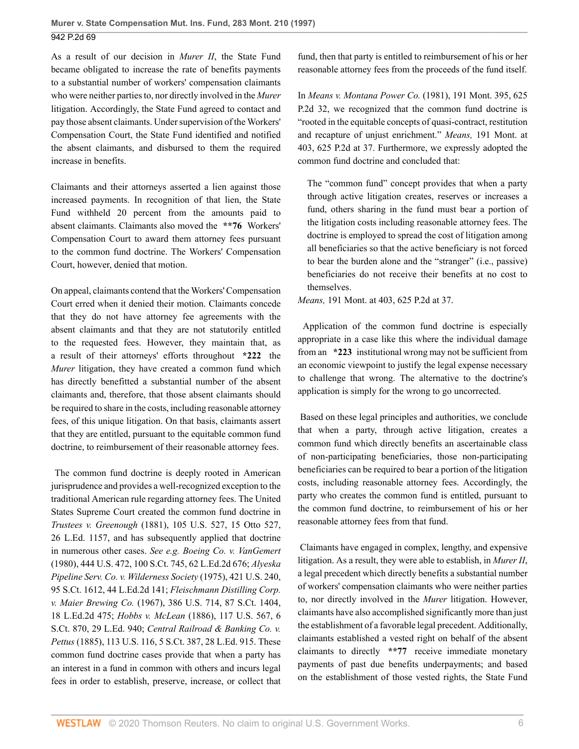As a result of our decision in *Murer II*, the State Fund became obligated to increase the rate of benefits payments to a substantial number of workers' compensation claimants who were neither parties to, nor directly involved in the *Murer* litigation. Accordingly, the State Fund agreed to contact and pay those absent claimants. Under supervision of the Workers' Compensation Court, the State Fund identified and notified the absent claimants, and disbursed to them the required increase in benefits.

Claimants and their attorneys asserted a lien against those increased payments. In recognition of that lien, the State Fund withheld 20 percent from the amounts paid to absent claimants. Claimants also moved the **\*\*76** Workers' Compensation Court to award them attorney fees pursuant to the common fund doctrine. The Workers' Compensation Court, however, denied that motion.

On appeal, claimants contend that the Workers' Compensation Court erred when it denied their motion. Claimants concede that they do not have attorney fee agreements with the absent claimants and that they are not statutorily entitled to the requested fees. However, they maintain that, as a result of their attorneys' efforts throughout **\*222** the *Murer* litigation, they have created a common fund which has directly benefitted a substantial number of the absent claimants and, therefore, that those absent claimants should be required to share in the costs, including reasonable attorney fees, of this unique litigation. On that basis, claimants assert that they are entitled, pursuant to the equitable common fund doctrine, to reimbursement of their reasonable attorney fees.

 The common fund doctrine is deeply rooted in American jurisprudence and provides a well-recognized exception to the traditional American rule regarding attorney fees. The United States Supreme Court created the common fund doctrine in *Trustees v. Greenough* [\(1881\), 105 U.S. 527, 15 Otto 527,](http://www.westlaw.com/Link/Document/FullText?findType=Y&serNum=1881194303&pubNum=780&originatingDoc=I4454ca18f57011d9bf60c1d57ebc853e&refType=RP&originationContext=document&vr=3.0&rs=cblt1.0&transitionType=DocumentItem&contextData=(sc.UserEnteredCitation)) [26 L.Ed. 1157,](http://www.westlaw.com/Link/Document/FullText?findType=Y&serNum=1881194303&pubNum=780&originatingDoc=I4454ca18f57011d9bf60c1d57ebc853e&refType=RP&originationContext=document&vr=3.0&rs=cblt1.0&transitionType=DocumentItem&contextData=(sc.UserEnteredCitation)) and has subsequently applied that doctrine in numerous other cases. *See e.g. [Boeing Co. v. VanGemert](http://www.westlaw.com/Link/Document/FullText?findType=Y&serNum=1980105841&pubNum=708&originatingDoc=I4454ca18f57011d9bf60c1d57ebc853e&refType=RP&originationContext=document&vr=3.0&rs=cblt1.0&transitionType=DocumentItem&contextData=(sc.UserEnteredCitation))* [\(1980\), 444 U.S. 472, 100 S.Ct. 745, 62 L.Ed.2d 676;](http://www.westlaw.com/Link/Document/FullText?findType=Y&serNum=1980105841&pubNum=708&originatingDoc=I4454ca18f57011d9bf60c1d57ebc853e&refType=RP&originationContext=document&vr=3.0&rs=cblt1.0&transitionType=DocumentItem&contextData=(sc.UserEnteredCitation)) *[Alyeska](http://www.westlaw.com/Link/Document/FullText?findType=Y&serNum=1975129779&pubNum=708&originatingDoc=I4454ca18f57011d9bf60c1d57ebc853e&refType=RP&originationContext=document&vr=3.0&rs=cblt1.0&transitionType=DocumentItem&contextData=(sc.UserEnteredCitation)) [Pipeline Serv. Co. v. Wilderness Society](http://www.westlaw.com/Link/Document/FullText?findType=Y&serNum=1975129779&pubNum=708&originatingDoc=I4454ca18f57011d9bf60c1d57ebc853e&refType=RP&originationContext=document&vr=3.0&rs=cblt1.0&transitionType=DocumentItem&contextData=(sc.UserEnteredCitation))* (1975), 421 U.S. 240, [95 S.Ct. 1612, 44 L.Ed.2d 141;](http://www.westlaw.com/Link/Document/FullText?findType=Y&serNum=1975129779&pubNum=708&originatingDoc=I4454ca18f57011d9bf60c1d57ebc853e&refType=RP&originationContext=document&vr=3.0&rs=cblt1.0&transitionType=DocumentItem&contextData=(sc.UserEnteredCitation)) *[Fleischmann Distilling Corp.](http://www.westlaw.com/Link/Document/FullText?findType=Y&serNum=1967129502&pubNum=708&originatingDoc=I4454ca18f57011d9bf60c1d57ebc853e&refType=RP&originationContext=document&vr=3.0&rs=cblt1.0&transitionType=DocumentItem&contextData=(sc.UserEnteredCitation)) v. Maier Brewing Co.* [\(1967\), 386 U.S. 714, 87 S.Ct. 1404,](http://www.westlaw.com/Link/Document/FullText?findType=Y&serNum=1967129502&pubNum=708&originatingDoc=I4454ca18f57011d9bf60c1d57ebc853e&refType=RP&originationContext=document&vr=3.0&rs=cblt1.0&transitionType=DocumentItem&contextData=(sc.UserEnteredCitation)) [18 L.Ed.2d 475;](http://www.westlaw.com/Link/Document/FullText?findType=Y&serNum=1967129502&pubNum=708&originatingDoc=I4454ca18f57011d9bf60c1d57ebc853e&refType=RP&originationContext=document&vr=3.0&rs=cblt1.0&transitionType=DocumentItem&contextData=(sc.UserEnteredCitation)) *Hobbs v. McLean* [\(1886\), 117 U.S. 567, 6](http://www.westlaw.com/Link/Document/FullText?findType=Y&serNum=1886198637&pubNum=708&originatingDoc=I4454ca18f57011d9bf60c1d57ebc853e&refType=RP&originationContext=document&vr=3.0&rs=cblt1.0&transitionType=DocumentItem&contextData=(sc.UserEnteredCitation)) [S.Ct. 870, 29 L.Ed. 940;](http://www.westlaw.com/Link/Document/FullText?findType=Y&serNum=1886198637&pubNum=708&originatingDoc=I4454ca18f57011d9bf60c1d57ebc853e&refType=RP&originationContext=document&vr=3.0&rs=cblt1.0&transitionType=DocumentItem&contextData=(sc.UserEnteredCitation)) *[Central Railroad & Banking Co. v.](http://www.westlaw.com/Link/Document/FullText?findType=Y&serNum=1885180085&pubNum=708&originatingDoc=I4454ca18f57011d9bf60c1d57ebc853e&refType=RP&originationContext=document&vr=3.0&rs=cblt1.0&transitionType=DocumentItem&contextData=(sc.UserEnteredCitation)) Pettus* [\(1885\), 113 U.S. 116, 5 S.Ct. 387, 28 L.Ed. 915.](http://www.westlaw.com/Link/Document/FullText?findType=Y&serNum=1885180085&pubNum=708&originatingDoc=I4454ca18f57011d9bf60c1d57ebc853e&refType=RP&originationContext=document&vr=3.0&rs=cblt1.0&transitionType=DocumentItem&contextData=(sc.UserEnteredCitation)) These common fund doctrine cases provide that when a party has an interest in a fund in common with others and incurs legal fees in order to establish, preserve, increase, or collect that fund, then that party is entitled to reimbursement of his or her reasonable attorney fees from the proceeds of the fund itself.

In *[Means v. Montana Power Co.](http://www.westlaw.com/Link/Document/FullText?findType=Y&serNum=1981111297&pubNum=661&originatingDoc=I4454ca18f57011d9bf60c1d57ebc853e&refType=RP&originationContext=document&vr=3.0&rs=cblt1.0&transitionType=DocumentItem&contextData=(sc.UserEnteredCitation))* (1981), 191 Mont. 395, 625 [P.2d 32,](http://www.westlaw.com/Link/Document/FullText?findType=Y&serNum=1981111297&pubNum=661&originatingDoc=I4454ca18f57011d9bf60c1d57ebc853e&refType=RP&originationContext=document&vr=3.0&rs=cblt1.0&transitionType=DocumentItem&contextData=(sc.UserEnteredCitation)) we recognized that the common fund doctrine is "rooted in the equitable concepts of quasi-contract, restitution and recapture of unjust enrichment." *Means,* [191 Mont. at](http://www.westlaw.com/Link/Document/FullText?findType=Y&serNum=1981111297&pubNum=661&originatingDoc=I4454ca18f57011d9bf60c1d57ebc853e&refType=RP&fi=co_pp_sp_661_37&originationContext=document&vr=3.0&rs=cblt1.0&transitionType=DocumentItem&contextData=(sc.UserEnteredCitation)#co_pp_sp_661_37) [403, 625 P.2d at 37.](http://www.westlaw.com/Link/Document/FullText?findType=Y&serNum=1981111297&pubNum=661&originatingDoc=I4454ca18f57011d9bf60c1d57ebc853e&refType=RP&fi=co_pp_sp_661_37&originationContext=document&vr=3.0&rs=cblt1.0&transitionType=DocumentItem&contextData=(sc.UserEnteredCitation)#co_pp_sp_661_37) Furthermore, we expressly adopted the common fund doctrine and concluded that:

The "common fund" concept provides that when a party through active litigation creates, reserves or increases a fund, others sharing in the fund must bear a portion of the litigation costs including reasonable attorney fees. The doctrine is employed to spread the cost of litigation among all beneficiaries so that the active beneficiary is not forced to bear the burden alone and the "stranger" (i.e., passive) beneficiaries do not receive their benefits at no cost to themselves.

*Means,* [191 Mont. at 403, 625 P.2d at 37](http://www.westlaw.com/Link/Document/FullText?findType=Y&serNum=1981111297&pubNum=0000661&originatingDoc=I4454ca18f57011d9bf60c1d57ebc853e&refType=RP&fi=co_pp_sp_661_37&originationContext=document&vr=3.0&rs=cblt1.0&transitionType=DocumentItem&contextData=(sc.UserEnteredCitation)#co_pp_sp_661_37).

 Application of the common fund doctrine is especially appropriate in a case like this where the individual damage from an **\*223** institutional wrong may not be sufficient from an economic viewpoint to justify the legal expense necessary to challenge that wrong. The alternative to the doctrine's application is simply for the wrong to go uncorrected.

 Based on these legal principles and authorities, we conclude that when a party, through active litigation, creates a common fund which directly benefits an ascertainable class of non-participating beneficiaries, those non-participating beneficiaries can be required to bear a portion of the litigation costs, including reasonable attorney fees. Accordingly, the party who creates the common fund is entitled, pursuant to the common fund doctrine, to reimbursement of his or her reasonable attorney fees from that fund.

 Claimants have engaged in complex, lengthy, and expensive litigation. As a result, they were able to establish, in *Murer II*, a legal precedent which directly benefits a substantial number of workers' compensation claimants who were neither parties to, nor directly involved in the *Murer* litigation. However, claimants have also accomplished significantly more than just the establishment of a favorable legal precedent. Additionally, claimants established a vested right on behalf of the absent claimants to directly **\*\*77** receive immediate monetary payments of past due benefits underpayments; and based on the establishment of those vested rights, the State Fund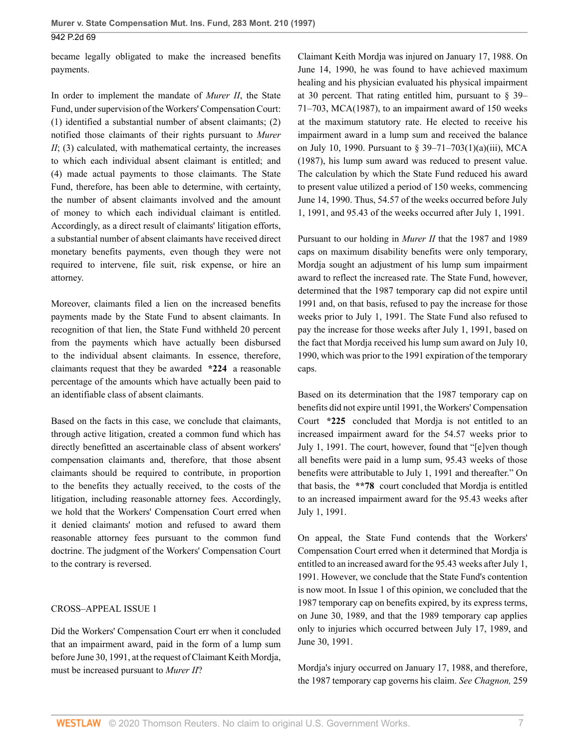became legally obligated to make the increased benefits payments.

In order to implement the mandate of *Murer II*, the State Fund, under supervision of the Workers' Compensation Court: (1) identified a substantial number of absent claimants; (2) notified those claimants of their rights pursuant to *Murer II*; (3) calculated, with mathematical certainty, the increases to which each individual absent claimant is entitled; and (4) made actual payments to those claimants. The State Fund, therefore, has been able to determine, with certainty, the number of absent claimants involved and the amount of money to which each individual claimant is entitled. Accordingly, as a direct result of claimants' litigation efforts, a substantial number of absent claimants have received direct monetary benefits payments, even though they were not required to intervene, file suit, risk expense, or hire an attorney.

Moreover, claimants filed a lien on the increased benefits payments made by the State Fund to absent claimants. In recognition of that lien, the State Fund withheld 20 percent from the payments which have actually been disbursed to the individual absent claimants. In essence, therefore, claimants request that they be awarded **\*224** a reasonable percentage of the amounts which have actually been paid to an identifiable class of absent claimants.

Based on the facts in this case, we conclude that claimants, through active litigation, created a common fund which has directly benefitted an ascertainable class of absent workers' compensation claimants and, therefore, that those absent claimants should be required to contribute, in proportion to the benefits they actually received, to the costs of the litigation, including reasonable attorney fees. Accordingly, we hold that the Workers' Compensation Court erred when it denied claimants' motion and refused to award them reasonable attorney fees pursuant to the common fund doctrine. The judgment of the Workers' Compensation Court to the contrary is reversed.

#### CROSS–APPEAL ISSUE 1

Did the Workers' Compensation Court err when it concluded that an impairment award, paid in the form of a lump sum before June 30, 1991, at the request of Claimant Keith Mordja, must be increased pursuant to *Murer II*?

Claimant Keith Mordja was injured on January 17, 1988. On June 14, 1990, he was found to have achieved maximum healing and his physician evaluated his physical impairment at 30 percent. That rating entitled him, pursuant to  $\S$  39– [71–703, MCA\(1987\),](http://www.westlaw.com/Link/Document/FullText?findType=L&pubNum=1002018&cite=MTST39-71-703&originatingDoc=I4454ca18f57011d9bf60c1d57ebc853e&refType=LQ&originationContext=document&vr=3.0&rs=cblt1.0&transitionType=DocumentItem&contextData=(sc.UserEnteredCitation)) to an impairment award of 150 weeks at the maximum statutory rate. He elected to receive his impairment award in a lump sum and received the balance on July 10, 1990. Pursuant to [§ 39–71–703\(1\)\(a\)\(iii\), MCA](http://www.westlaw.com/Link/Document/FullText?findType=L&pubNum=1002018&cite=MTST39-71-703&originatingDoc=I4454ca18f57011d9bf60c1d57ebc853e&refType=SP&originationContext=document&vr=3.0&rs=cblt1.0&transitionType=DocumentItem&contextData=(sc.UserEnteredCitation)#co_pp_9f800000f2221) [\(1987\),](http://www.westlaw.com/Link/Document/FullText?findType=L&pubNum=1002018&cite=MTST39-71-703&originatingDoc=I4454ca18f57011d9bf60c1d57ebc853e&refType=SP&originationContext=document&vr=3.0&rs=cblt1.0&transitionType=DocumentItem&contextData=(sc.UserEnteredCitation)#co_pp_9f800000f2221) his lump sum award was reduced to present value. The calculation by which the State Fund reduced his award to present value utilized a period of 150 weeks, commencing June 14, 1990. Thus, 54.57 of the weeks occurred before July 1, 1991, and 95.43 of the weeks occurred after July 1, 1991.

Pursuant to our holding in *Murer II* that the 1987 and 1989 caps on maximum disability benefits were only temporary, Mordja sought an adjustment of his lump sum impairment award to reflect the increased rate. The State Fund, however, determined that the 1987 temporary cap did not expire until 1991 and, on that basis, refused to pay the increase for those weeks prior to July 1, 1991. The State Fund also refused to pay the increase for those weeks after July 1, 1991, based on the fact that Mordja received his lump sum award on July 10, 1990, which was prior to the 1991 expiration of the temporary caps.

Based on its determination that the 1987 temporary cap on benefits did not expire until 1991, the Workers' Compensation Court **\*225** concluded that Mordja is not entitled to an increased impairment award for the 54.57 weeks prior to July 1, 1991. The court, however, found that "[e]ven though all benefits were paid in a lump sum, 95.43 weeks of those benefits were attributable to July 1, 1991 and thereafter." On that basis, the **\*\*78** court concluded that Mordja is entitled to an increased impairment award for the 95.43 weeks after July 1, 1991.

On appeal, the State Fund contends that the Workers' Compensation Court erred when it determined that Mordja is entitled to an increased award for the 95.43 weeks after July 1, 1991. However, we conclude that the State Fund's contention is now moot. In Issue 1 of this opinion, we concluded that the 1987 temporary cap on benefits expired, by its express terms, on June 30, 1989, and that the 1989 temporary cap applies only to injuries which occurred between July 17, 1989, and June 30, 1991.

Mordja's injury occurred on January 17, 1988, and therefore, the 1987 temporary cap governs his claim. *See [Chagnon,](http://www.westlaw.com/Link/Document/FullText?findType=Y&serNum=1993062460&pubNum=661&originatingDoc=I4454ca18f57011d9bf60c1d57ebc853e&refType=RP&fi=co_pp_sp_661_1004&originationContext=document&vr=3.0&rs=cblt1.0&transitionType=DocumentItem&contextData=(sc.UserEnteredCitation)#co_pp_sp_661_1004)* 259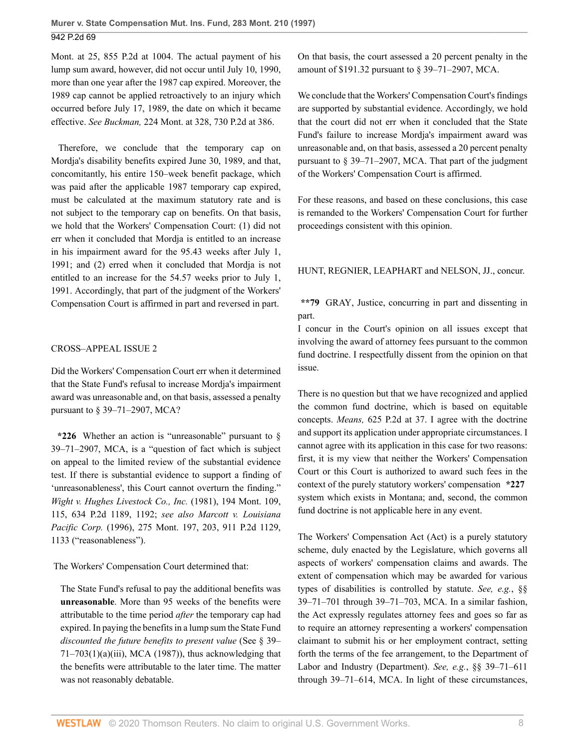[Mont. at 25, 855 P.2d at 1004.](http://www.westlaw.com/Link/Document/FullText?findType=Y&serNum=1993062460&pubNum=661&originatingDoc=I4454ca18f57011d9bf60c1d57ebc853e&refType=RP&fi=co_pp_sp_661_1004&originationContext=document&vr=3.0&rs=cblt1.0&transitionType=DocumentItem&contextData=(sc.UserEnteredCitation)#co_pp_sp_661_1004) The actual payment of his lump sum award, however, did not occur until July 10, 1990, more than one year after the 1987 cap expired. Moreover, the 1989 cap cannot be applied retroactively to an injury which occurred before July 17, 1989, the date on which it became effective. *See Buckman,* [224 Mont. at 328, 730 P.2d at 386.](http://www.westlaw.com/Link/Document/FullText?findType=Y&serNum=1986162037&pubNum=0000661&originatingDoc=I4454ca18f57011d9bf60c1d57ebc853e&refType=RP&fi=co_pp_sp_661_386&originationContext=document&vr=3.0&rs=cblt1.0&transitionType=DocumentItem&contextData=(sc.UserEnteredCitation)#co_pp_sp_661_386)

 Therefore, we conclude that the temporary cap on Mordja's disability benefits expired June 30, 1989, and that, concomitantly, his entire 150–week benefit package, which was paid after the applicable 1987 temporary cap expired, must be calculated at the maximum statutory rate and is not subject to the temporary cap on benefits. On that basis, we hold that the Workers' Compensation Court: (1) did not err when it concluded that Mordja is entitled to an increase in his impairment award for the 95.43 weeks after July 1, 1991; and (2) erred when it concluded that Mordja is not entitled to an increase for the 54.57 weeks prior to July 1, 1991. Accordingly, that part of the judgment of the Workers' Compensation Court is affirmed in part and reversed in part.

### CROSS–APPEAL ISSUE 2

Did the Workers' Compensation Court err when it determined that the State Fund's refusal to increase Mordja's impairment award was unreasonable and, on that basis, assessed a penalty pursuant to [§ 39–71–2907, MCA](http://www.westlaw.com/Link/Document/FullText?findType=L&pubNum=1002018&cite=MTST39-71-2907&originatingDoc=I4454ca18f57011d9bf60c1d57ebc853e&refType=LQ&originationContext=document&vr=3.0&rs=cblt1.0&transitionType=DocumentItem&contextData=(sc.UserEnteredCitation))?

**\*226** Whether an action is "unreasonable" pursuant to [§](http://www.westlaw.com/Link/Document/FullText?findType=L&pubNum=1002018&cite=MTST39-71-2907&originatingDoc=I4454ca18f57011d9bf60c1d57ebc853e&refType=LQ&originationContext=document&vr=3.0&rs=cblt1.0&transitionType=DocumentItem&contextData=(sc.UserEnteredCitation)) [39–71–2907, MCA,](http://www.westlaw.com/Link/Document/FullText?findType=L&pubNum=1002018&cite=MTST39-71-2907&originatingDoc=I4454ca18f57011d9bf60c1d57ebc853e&refType=LQ&originationContext=document&vr=3.0&rs=cblt1.0&transitionType=DocumentItem&contextData=(sc.UserEnteredCitation)) is a "question of fact which is subject on appeal to the limited review of the substantial evidence test. If there is substantial evidence to support a finding of 'unreasonableness', this Court cannot overturn the finding." *[Wight v. Hughes Livestock Co., Inc.](http://www.westlaw.com/Link/Document/FullText?findType=Y&serNum=1981142482&pubNum=661&originatingDoc=I4454ca18f57011d9bf60c1d57ebc853e&refType=RP&fi=co_pp_sp_661_1192&originationContext=document&vr=3.0&rs=cblt1.0&transitionType=DocumentItem&contextData=(sc.UserEnteredCitation)#co_pp_sp_661_1192)* (1981), 194 Mont. 109, [115, 634 P.2d 1189, 1192;](http://www.westlaw.com/Link/Document/FullText?findType=Y&serNum=1981142482&pubNum=661&originatingDoc=I4454ca18f57011d9bf60c1d57ebc853e&refType=RP&fi=co_pp_sp_661_1192&originationContext=document&vr=3.0&rs=cblt1.0&transitionType=DocumentItem&contextData=(sc.UserEnteredCitation)#co_pp_sp_661_1192) *see also [Marcott v. Louisiana](http://www.westlaw.com/Link/Document/FullText?findType=Y&serNum=1996051497&pubNum=0000661&originatingDoc=I4454ca18f57011d9bf60c1d57ebc853e&refType=RP&fi=co_pp_sp_661_1133&originationContext=document&vr=3.0&rs=cblt1.0&transitionType=DocumentItem&contextData=(sc.UserEnteredCitation)#co_pp_sp_661_1133) Pacific Corp.* [\(1996\), 275 Mont. 197, 203, 911 P.2d 1129,](http://www.westlaw.com/Link/Document/FullText?findType=Y&serNum=1996051497&pubNum=0000661&originatingDoc=I4454ca18f57011d9bf60c1d57ebc853e&refType=RP&fi=co_pp_sp_661_1133&originationContext=document&vr=3.0&rs=cblt1.0&transitionType=DocumentItem&contextData=(sc.UserEnteredCitation)#co_pp_sp_661_1133) [1133](http://www.westlaw.com/Link/Document/FullText?findType=Y&serNum=1996051497&pubNum=0000661&originatingDoc=I4454ca18f57011d9bf60c1d57ebc853e&refType=RP&fi=co_pp_sp_661_1133&originationContext=document&vr=3.0&rs=cblt1.0&transitionType=DocumentItem&contextData=(sc.UserEnteredCitation)#co_pp_sp_661_1133) ("reasonableness").

The Workers' Compensation Court determined that:

The State Fund's refusal to pay the additional benefits was **unreasonable**. More than 95 weeks of the benefits were attributable to the time period *after* the temporary cap had expired. In paying the benefits in a lump sum the State Fund *discounted the future benefits to present value* (See [§ 39–](http://www.westlaw.com/Link/Document/FullText?findType=L&pubNum=1002018&cite=MTST39-71-703&originatingDoc=I4454ca18f57011d9bf60c1d57ebc853e&refType=SP&originationContext=document&vr=3.0&rs=cblt1.0&transitionType=DocumentItem&contextData=(sc.UserEnteredCitation)#co_pp_9f800000f2221)  $71-703(1)(a)(iii)$ , MCA (1987)), thus acknowledging that the benefits were attributable to the later time. The matter was not reasonably debatable.

On that basis, the court assessed a 20 percent penalty in the amount of \$191.32 pursuant to [§ 39–71–2907, MCA.](http://www.westlaw.com/Link/Document/FullText?findType=L&pubNum=1002018&cite=MTST39-71-2907&originatingDoc=I4454ca18f57011d9bf60c1d57ebc853e&refType=LQ&originationContext=document&vr=3.0&rs=cblt1.0&transitionType=DocumentItem&contextData=(sc.UserEnteredCitation))

We conclude that the Workers' Compensation Court's findings are supported by substantial evidence. Accordingly, we hold that the court did not err when it concluded that the State Fund's failure to increase Mordja's impairment award was unreasonable and, on that basis, assessed a 20 percent penalty pursuant to [§ 39–71–2907, MCA.](http://www.westlaw.com/Link/Document/FullText?findType=L&pubNum=1002018&cite=MTST39-71-2907&originatingDoc=I4454ca18f57011d9bf60c1d57ebc853e&refType=LQ&originationContext=document&vr=3.0&rs=cblt1.0&transitionType=DocumentItem&contextData=(sc.UserEnteredCitation)) That part of the judgment of the Workers' Compensation Court is affirmed.

For these reasons, and based on these conclusions, this case is remanded to the Workers' Compensation Court for further proceedings consistent with this opinion.

## HUNT, REGNIER, [LEAPHART](http://www.westlaw.com/Link/Document/FullText?findType=h&pubNum=176284&cite=0208177701&originatingDoc=I4454ca18f57011d9bf60c1d57ebc853e&refType=RQ&originationContext=document&vr=3.0&rs=cblt1.0&transitionType=DocumentItem&contextData=(sc.UserEnteredCitation)) and [NELSON,](http://www.westlaw.com/Link/Document/FullText?findType=h&pubNum=176284&cite=0165656001&originatingDoc=I4454ca18f57011d9bf60c1d57ebc853e&refType=RQ&originationContext=document&vr=3.0&rs=cblt1.0&transitionType=DocumentItem&contextData=(sc.UserEnteredCitation)) JJ., concur.

**\*\*79** [GRAY,](http://www.westlaw.com/Link/Document/FullText?findType=h&pubNum=176284&cite=0141245001&originatingDoc=I4454ca18f57011d9bf60c1d57ebc853e&refType=RQ&originationContext=document&vr=3.0&rs=cblt1.0&transitionType=DocumentItem&contextData=(sc.UserEnteredCitation)) Justice, concurring in part and dissenting in part.

I concur in the Court's opinion on all issues except that involving the award of attorney fees pursuant to the common fund doctrine. I respectfully dissent from the opinion on that issue.

There is no question but that we have recognized and applied the common fund doctrine, which is based on equitable concepts. *Means,* [625 P.2d at 37.](http://www.westlaw.com/Link/Document/FullText?findType=Y&serNum=1981111297&pubNum=661&originatingDoc=I4454ca18f57011d9bf60c1d57ebc853e&refType=RP&fi=co_pp_sp_661_37&originationContext=document&vr=3.0&rs=cblt1.0&transitionType=DocumentItem&contextData=(sc.UserEnteredCitation)#co_pp_sp_661_37) I agree with the doctrine and support its application under appropriate circumstances. I cannot agree with its application in this case for two reasons: first, it is my view that neither the Workers' Compensation Court or this Court is authorized to award such fees in the context of the purely statutory workers' compensation **\*227** system which exists in Montana; and, second, the common fund doctrine is not applicable here in any event.

The Workers' Compensation Act (Act) is a purely statutory scheme, duly enacted by the Legislature, which governs all aspects of workers' compensation claims and awards. The extent of compensation which may be awarded for various types of disabilities is controlled by statute. *See, e.g.*, [§§](http://www.westlaw.com/Link/Document/FullText?findType=L&pubNum=1002018&cite=MTST39-71-701&originatingDoc=I4454ca18f57011d9bf60c1d57ebc853e&refType=LQ&originationContext=document&vr=3.0&rs=cblt1.0&transitionType=DocumentItem&contextData=(sc.UserEnteredCitation)) [39–71–701](http://www.westlaw.com/Link/Document/FullText?findType=L&pubNum=1002018&cite=MTST39-71-701&originatingDoc=I4454ca18f57011d9bf60c1d57ebc853e&refType=LQ&originationContext=document&vr=3.0&rs=cblt1.0&transitionType=DocumentItem&contextData=(sc.UserEnteredCitation)) through [39–71–703, MCA.](http://www.westlaw.com/Link/Document/FullText?findType=L&pubNum=1002018&cite=MTST39-71-703&originatingDoc=I4454ca18f57011d9bf60c1d57ebc853e&refType=LQ&originationContext=document&vr=3.0&rs=cblt1.0&transitionType=DocumentItem&contextData=(sc.UserEnteredCitation)) In a similar fashion, the Act expressly regulates attorney fees and goes so far as to require an attorney representing a workers' compensation claimant to submit his or her employment contract, setting forth the terms of the fee arrangement, to the Department of Labor and Industry (Department). *See, e.g.*, [§§ 39–71–611](http://www.westlaw.com/Link/Document/FullText?findType=L&pubNum=1002018&cite=MTST39-71-611&originatingDoc=I4454ca18f57011d9bf60c1d57ebc853e&refType=LQ&originationContext=document&vr=3.0&rs=cblt1.0&transitionType=DocumentItem&contextData=(sc.UserEnteredCitation)) through [39–71–614, MCA](http://www.westlaw.com/Link/Document/FullText?findType=L&pubNum=1002018&cite=MTST39-71-614&originatingDoc=I4454ca18f57011d9bf60c1d57ebc853e&refType=LQ&originationContext=document&vr=3.0&rs=cblt1.0&transitionType=DocumentItem&contextData=(sc.UserEnteredCitation)). In light of these circumstances,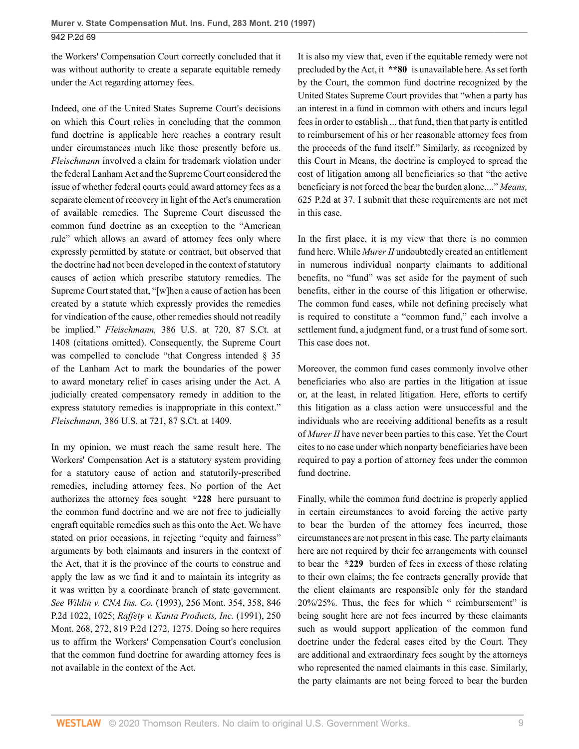the Workers' Compensation Court correctly concluded that it was without authority to create a separate equitable remedy under the Act regarding attorney fees.

Indeed, one of the United States Supreme Court's decisions on which this Court relies in concluding that the common fund doctrine is applicable here reaches a contrary result under circumstances much like those presently before us. *Fleischmann* involved a claim for trademark violation under the federal Lanham Act and the Supreme Court considered the issue of whether federal courts could award attorney fees as a separate element of recovery in light of the Act's enumeration of available remedies. The Supreme Court discussed the common fund doctrine as an exception to the "American rule" which allows an award of attorney fees only where expressly permitted by statute or contract, but observed that the doctrine had not been developed in the context of statutory causes of action which prescribe statutory remedies. The Supreme Court stated that, "[w]hen a cause of action has been created by a statute which expressly provides the remedies for vindication of the cause, other remedies should not readily be implied." *Fleischmann,* [386 U.S. at 720, 87 S.Ct. at](http://www.westlaw.com/Link/Document/FullText?findType=Y&serNum=1967129502&pubNum=0000708&originatingDoc=I4454ca18f57011d9bf60c1d57ebc853e&refType=RP&fi=co_pp_sp_708_1408&originationContext=document&vr=3.0&rs=cblt1.0&transitionType=DocumentItem&contextData=(sc.UserEnteredCitation)#co_pp_sp_708_1408) [1408](http://www.westlaw.com/Link/Document/FullText?findType=Y&serNum=1967129502&pubNum=0000708&originatingDoc=I4454ca18f57011d9bf60c1d57ebc853e&refType=RP&fi=co_pp_sp_708_1408&originationContext=document&vr=3.0&rs=cblt1.0&transitionType=DocumentItem&contextData=(sc.UserEnteredCitation)#co_pp_sp_708_1408) (citations omitted). Consequently, the Supreme Court was compelled to conclude "that Congress intended § 35 of the Lanham Act to mark the boundaries of the power to award monetary relief in cases arising under the Act. A judicially created compensatory remedy in addition to the express statutory remedies is inappropriate in this context." *Fleischmann,* [386 U.S. at 721, 87 S.Ct. at 1409.](http://www.westlaw.com/Link/Document/FullText?findType=Y&serNum=1967129502&pubNum=0000708&originatingDoc=I4454ca18f57011d9bf60c1d57ebc853e&refType=RP&fi=co_pp_sp_708_1409&originationContext=document&vr=3.0&rs=cblt1.0&transitionType=DocumentItem&contextData=(sc.UserEnteredCitation)#co_pp_sp_708_1409)

In my opinion, we must reach the same result here. The Workers' Compensation Act is a statutory system providing for a statutory cause of action and statutorily-prescribed remedies, including attorney fees. No portion of the Act authorizes the attorney fees sought **\*228** here pursuant to the common fund doctrine and we are not free to judicially engraft equitable remedies such as this onto the Act. We have stated on prior occasions, in rejecting "equity and fairness" arguments by both claimants and insurers in the context of the Act, that it is the province of the courts to construe and apply the law as we find it and to maintain its integrity as it was written by a coordinate branch of state government. *See Wildin v. CNA Ins. Co.* [\(1993\), 256 Mont. 354, 358, 846](http://www.westlaw.com/Link/Document/FullText?findType=Y&serNum=1993044411&pubNum=661&originatingDoc=I4454ca18f57011d9bf60c1d57ebc853e&refType=RP&fi=co_pp_sp_661_1025&originationContext=document&vr=3.0&rs=cblt1.0&transitionType=DocumentItem&contextData=(sc.UserEnteredCitation)#co_pp_sp_661_1025) [P.2d 1022, 1025;](http://www.westlaw.com/Link/Document/FullText?findType=Y&serNum=1993044411&pubNum=661&originatingDoc=I4454ca18f57011d9bf60c1d57ebc853e&refType=RP&fi=co_pp_sp_661_1025&originationContext=document&vr=3.0&rs=cblt1.0&transitionType=DocumentItem&contextData=(sc.UserEnteredCitation)#co_pp_sp_661_1025) *[Raffety v. Kanta Products, Inc.](http://www.westlaw.com/Link/Document/FullText?findType=Y&serNum=1991178761&pubNum=661&originatingDoc=I4454ca18f57011d9bf60c1d57ebc853e&refType=RP&fi=co_pp_sp_661_1275&originationContext=document&vr=3.0&rs=cblt1.0&transitionType=DocumentItem&contextData=(sc.UserEnteredCitation)#co_pp_sp_661_1275)* (1991), 250 [Mont. 268, 272, 819 P.2d 1272, 1275.](http://www.westlaw.com/Link/Document/FullText?findType=Y&serNum=1991178761&pubNum=661&originatingDoc=I4454ca18f57011d9bf60c1d57ebc853e&refType=RP&fi=co_pp_sp_661_1275&originationContext=document&vr=3.0&rs=cblt1.0&transitionType=DocumentItem&contextData=(sc.UserEnteredCitation)#co_pp_sp_661_1275) Doing so here requires us to affirm the Workers' Compensation Court's conclusion that the common fund doctrine for awarding attorney fees is not available in the context of the Act.

It is also my view that, even if the equitable remedy were not precluded by the Act, it **\*\*80** is unavailable here. As set forth by the Court, the common fund doctrine recognized by the United States Supreme Court provides that "when a party has an interest in a fund in common with others and incurs legal fees in order to establish ... that fund, then that party is entitled to reimbursement of his or her reasonable attorney fees from the proceeds of the fund itself." Similarly, as recognized by this Court in Means, the doctrine is employed to spread the cost of litigation among all beneficiaries so that "the active beneficiary is not forced the bear the burden alone...." *[Means,](http://www.westlaw.com/Link/Document/FullText?findType=Y&serNum=1981111297&pubNum=661&originatingDoc=I4454ca18f57011d9bf60c1d57ebc853e&refType=RP&fi=co_pp_sp_661_37&originationContext=document&vr=3.0&rs=cblt1.0&transitionType=DocumentItem&contextData=(sc.UserEnteredCitation)#co_pp_sp_661_37)* [625 P.2d at 37.](http://www.westlaw.com/Link/Document/FullText?findType=Y&serNum=1981111297&pubNum=661&originatingDoc=I4454ca18f57011d9bf60c1d57ebc853e&refType=RP&fi=co_pp_sp_661_37&originationContext=document&vr=3.0&rs=cblt1.0&transitionType=DocumentItem&contextData=(sc.UserEnteredCitation)#co_pp_sp_661_37) I submit that these requirements are not met in this case.

In the first place, it is my view that there is no common fund here. While *Murer II* undoubtedly created an entitlement in numerous individual nonparty claimants to additional benefits, no "fund" was set aside for the payment of such benefits, either in the course of this litigation or otherwise. The common fund cases, while not defining precisely what is required to constitute a "common fund," each involve a settlement fund, a judgment fund, or a trust fund of some sort. This case does not.

Moreover, the common fund cases commonly involve other beneficiaries who also are parties in the litigation at issue or, at the least, in related litigation. Here, efforts to certify this litigation as a class action were unsuccessful and the individuals who are receiving additional benefits as a result of *Murer II* have never been parties to this case. Yet the Court cites to no case under which nonparty beneficiaries have been required to pay a portion of attorney fees under the common fund doctrine.

Finally, while the common fund doctrine is properly applied in certain circumstances to avoid forcing the active party to bear the burden of the attorney fees incurred, those circumstances are not present in this case. The party claimants here are not required by their fee arrangements with counsel to bear the **\*229** burden of fees in excess of those relating to their own claims; the fee contracts generally provide that the client claimants are responsible only for the standard 20%/25%. Thus, the fees for which " reimbursement" is being sought here are not fees incurred by these claimants such as would support application of the common fund doctrine under the federal cases cited by the Court. They are additional and extraordinary fees sought by the attorneys who represented the named claimants in this case. Similarly, the party claimants are not being forced to bear the burden